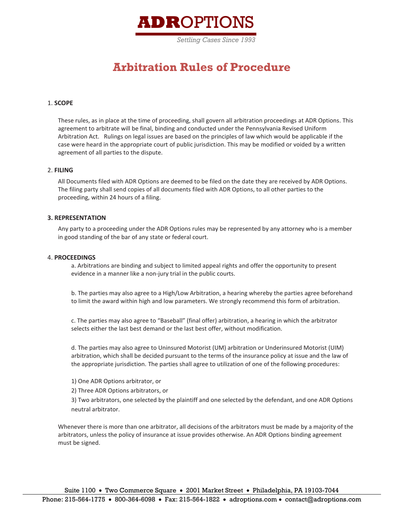

# **Arbitration Rules of Procedure**

# 1. **SCOPE**

These rules, as in place at the time of proceeding, shall govern all arbitration proceedings at ADR Options. This agreement to arbitrate will be final, binding and conducted under the Pennsylvania Revised Uniform Arbitration Act. Rulings on legal issues are based on the principles of law which would be applicable if the case were heard in the appropriate court of public jurisdiction. This may be modified or voided by a written agreement of all parties to the dispute.

# 2. **FILING**

All Documents filed with ADR Options are deemed to be filed on the date they are received by ADR Options. The filing party shall send copies of all documents filed with ADR Options, to all other parties to the proceeding, within 24 hours of a filing.

# **3. REPRESENTATION**

Any party to a proceeding under the ADR Options rules may be represented by any attorney who is a member in good standing of the bar of any state or federal court.

#### 4. **PROCEEDINGS**

a. Arbitrations are binding and subject to limited appeal rights and offer the opportunity to present evidence in a manner like a non-jury trial in the public courts.

b. The parties may also agree to a High/Low Arbitration, a hearing whereby the parties agree beforehand to limit the award within high and low parameters. We strongly recommend this form of arbitration.

c. The parties may also agree to "Baseball" (final offer) arbitration, a hearing in which the arbitrator selects either the last best demand or the last best offer, without modification.

d. The parties may also agree to Uninsured Motorist (UM) arbitration or Underinsured Motorist (UIM) arbitration, which shall be decided pursuant to the terms of the insurance policy at issue and the law of the appropriate jurisdiction. The parties shall agree to utilization of one of the following procedures:

1) One ADR Options arbitrator, or

2) Three ADR Options arbitrators, or

3) Two arbitrators, one selected by the plaintiff and one selected by the defendant, and one ADR Options neutral arbitrator.

Whenever there is more than one arbitrator, all decisions of the arbitrators must be made by a majority of the arbitrators, unless the policy of insurance at issue provides otherwise. An ADR Options binding agreement must be signed.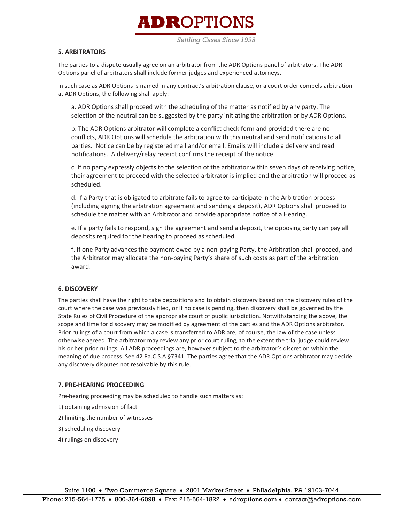# **ADROPTIO**

*Settling Cases Since 1993*

# **5. ARBITRATORS**

The parties to a dispute usually agree on an arbitrator from the ADR Options panel of arbitrators. The ADR Options panel of arbitrators shall include former judges and experienced attorneys.

In such case as ADR Options is named in any contract's arbitration clause, or a court order compels arbitration at ADR Options, the following shall apply:

a. ADR Options shall proceed with the scheduling of the matter as notified by any party. The selection of the neutral can be suggested by the party initiating the arbitration or by ADR Options.

b. The ADR Options arbitrator will complete a conflict check form and provided there are no conflicts, ADR Options will schedule the arbitration with this neutral and send notifications to all parties. Notice can be by registered mail and/or email. Emails will include a delivery and read notifications. A delivery/relay receipt confirms the receipt of the notice.

c. If no party expressly objects to the selection of the arbitrator within seven days of receiving notice, their agreement to proceed with the selected arbitrator is implied and the arbitration will proceed as scheduled.

d. If a Party that is obligated to arbitrate fails to agree to participate in the Arbitration process (including signing the arbitration agreement and sending a deposit), ADR Options shall proceed to schedule the matter with an Arbitrator and provide appropriate notice of a Hearing.

e. If a party fails to respond, sign the agreement and send a deposit, the opposing party can pay all deposits required for the hearing to proceed as scheduled.

f. If one Party advances the payment owed by a non-paying Party, the Arbitration shall proceed, and the Arbitrator may allocate the non-paying Party's share of such costs as part of the arbitration award.

# **6. DISCOVERY**

The parties shall have the right to take depositions and to obtain discovery based on the discovery rules of the court where the case was previously filed, or if no case is pending, then discovery shall be governed by the State Rules of Civil Procedure of the appropriate court of public jurisdiction. Notwithstanding the above, the scope and time for discovery may be modified by agreement of the parties and the ADR Options arbitrator. Prior rulings of a court from which a case is transferred to ADR are, of course, the law of the case unless otherwise agreed. The arbitrator may review any prior court ruling, to the extent the trial judge could review his or her prior rulings. All ADR proceedings are, however subject to the arbitrator's discretion within the meaning of due process. See 42 Pa.C.S.A §7341. The parties agree that the ADR Options arbitrator may decide any discovery disputes not resolvable by this rule.

# **7. PRE-HEARING PROCEEDING**

Pre-hearing proceeding may be scheduled to handle such matters as:

- 1) obtaining admission of fact
- 2) limiting the number of witnesses
- 3) scheduling discovery
- 4) rulings on discovery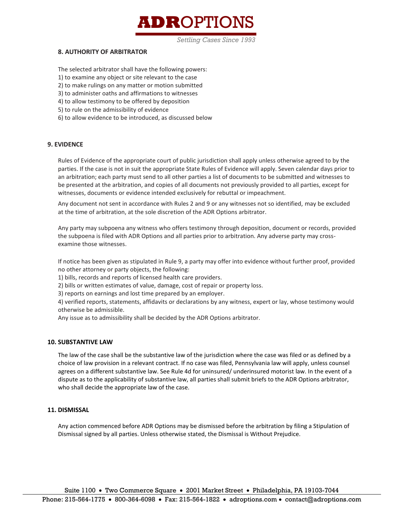

*Settling Cases Since 1993*

# **8. AUTHORITY OF ARBITRATOR**

The selected arbitrator shall have the following powers:

- 1) to examine any object or site relevant to the case
- 2) to make rulings on any matter or motion submitted
- 3) to administer oaths and affirmations to witnesses
- 4) to allow testimony to be offered by deposition
- 5) to rule on the admissibility of evidence
- 6) to allow evidence to be introduced, as discussed below

# **9. EVIDENCE**

Rules of Evidence of the appropriate court of public jurisdiction shall apply unless otherwise agreed to by the parties. If the case is not in suit the appropriate State Rules of Evidence will apply. Seven calendar days prior to an arbitration; each party must send to all other parties a list of documents to be submitted and witnesses to be presented at the arbitration, and copies of all documents not previously provided to all parties, except for witnesses, documents or evidence intended exclusively for rebuttal or impeachment.

Any document not sent in accordance with Rules 2 and 9 or any witnesses not so identified, may be excluded at the time of arbitration, at the sole discretion of the ADR Options arbitrator.

Any party may subpoena any witness who offers testimony through deposition, document or records, provided the subpoena is filed with ADR Options and all parties prior to arbitration. Any adverse party may crossexamine those witnesses.

If notice has been given as stipulated in Rule 9, a party may offer into evidence without further proof, provided no other attorney or party objects, the following:

1) bills, records and reports of licensed health care providers.

2) bills or written estimates of value, damage, cost of repair or property loss.

3) reports on earnings and lost time prepared by an employer.

4) verified reports, statements, affidavits or declarations by any witness, expert or lay, whose testimony would otherwise be admissible.

Any issue as to admissibility shall be decided by the ADR Options arbitrator.

# **10. SUBSTANTIVE LAW**

The law of the case shall be the substantive law of the jurisdiction where the case was filed or as defined by a choice of law provision in a relevant contract. If no case was filed, Pennsylvania law will apply, unless counsel agrees on a different substantive law. See Rule 4d for uninsured/ underinsured motorist law. In the event of a dispute as to the applicability of substantive law, all parties shall submit briefs to the ADR Options arbitrator, who shall decide the appropriate law of the case.

# **11. DISMISSAL**

Any action commenced before ADR Options may be dismissed before the arbitration by filing a Stipulation of Dismissal signed by all parties. Unless otherwise stated, the Dismissal is Without Prejudice.